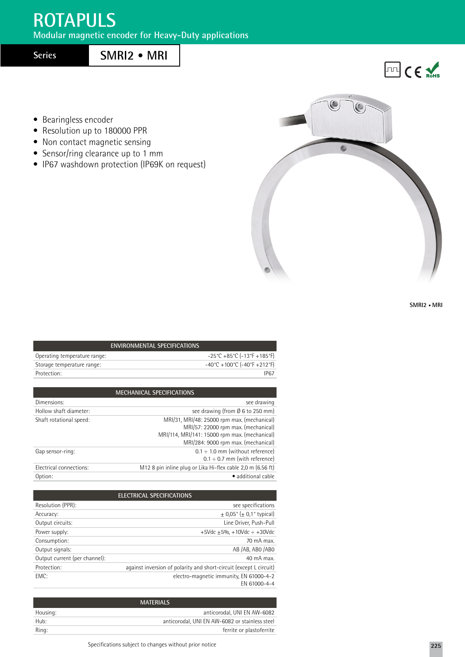## **ROTAPULS**

**Modular magnetic encoder for Heavy-Duty applications**

**Series**

## **SMRI2 • MRI**

• Bearingless encoder

- Resolution up to 180000 PPR
- Non contact magnetic sensing
- Sensor/ring clearance up to 1 mm
- IP67 washdown protection (IP69K on request)



**SMRI2 • MRI**

**EMPLICE** 

| <b>ENVIRONMENTAL SPECIFICATIONS</b> |  |                                                                          |  |  |
|-------------------------------------|--|--------------------------------------------------------------------------|--|--|
| Operating temperature range:        |  | $-25^{\circ}$ C +85 $^{\circ}$ C (-13 $^{\circ}$ F +185 $^{\circ}$ F)    |  |  |
| Storage temperature range:          |  | $-40^{\circ}$ C + 100 $^{\circ}$ C (-40 $^{\circ}$ F + 212 $^{\circ}$ F) |  |  |
| Protection:                         |  | IP67                                                                     |  |  |
|                                     |  |                                                                          |  |  |
|                                     |  |                                                                          |  |  |

| <b>MECHANICAL SPECIFICATIONS</b> |                                                                                                                                                                            |
|----------------------------------|----------------------------------------------------------------------------------------------------------------------------------------------------------------------------|
| Dimensions:                      | see drawing                                                                                                                                                                |
| Hollow shaft diameter:           | see drawing (from Ø 6 to 250 mm)                                                                                                                                           |
| Shaft rotational speed:          | MRI/31, MRI/48: 25000 rpm max. (mechanical)<br>MRI/57: 22000 rpm max. (mechanical)<br>MRI/114, MRI/141: 15000 rpm max. (mechanical)<br>MRI/284: 9000 rpm max. (mechanical) |
| Gap sensor-ring:                 | $0.1 \div 1.0$ mm (without reference)<br>$0.1 \div 0.7$ mm (with reference)                                                                                                |
| Electrical connections:          | M12 8 pin inline plug or Lika Hi-flex cable 2,0 m (6.56 ft)                                                                                                                |
| Option:                          | · additional cable                                                                                                                                                         |
|                                  |                                                                                                                                                                            |

| ELECTRICAL SPECIFICATIONS     |                                                                    |  |
|-------------------------------|--------------------------------------------------------------------|--|
| Resolution (PPR):             | see specifications                                                 |  |
| Accuracy:                     | $\pm$ 0,05° ( $\pm$ 0,1° typical)                                  |  |
| Output circuits:              | Line Driver, Push-Pull                                             |  |
| Power supply:                 | $+5$ Vdc $+5%$ , $+10$ Vdc $\div$ $+30$ Vdc                        |  |
| Consumption:                  | 70 mA max.                                                         |  |
| Output signals:               | AB /AB, ABO /ABO                                                   |  |
| Output current (per channel): | 40 mA max.                                                         |  |
| Protection:                   | against inversion of polarity and short-circuit (except L circuit) |  |
| EMC:                          | electro-magnetic immunity, EN 61000-4-2                            |  |
|                               | FN 61000-4-4                                                       |  |

| <b>MATERIALS</b> |                                                |
|------------------|------------------------------------------------|
| Housing:         | anticorodal. UNI EN AW-6082                    |
| Hub:             | anticorodal. UNI EN AW-6082 or stainless steel |
| Ring:            | ferrite or plastoferrite                       |
|                  |                                                |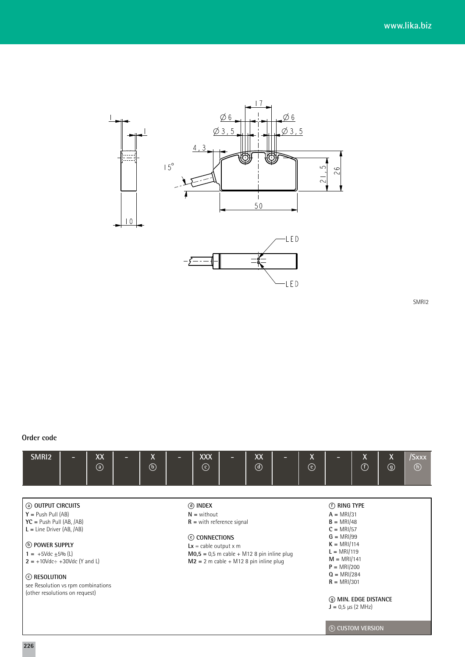

SMRI2

## **Order code**

| SMRI <sub>2</sub><br>XX<br>$\circledcirc$                                                                                                                                                                                                                                                        | <b>XXX</b><br>XX<br>X<br>$\circledcirc$<br>$\odot$<br>$^{\circledR}$                                                                                                                               | $\pmb{\chi}$<br>χ<br>X<br>/Sxxx<br>$\odot$<br>$\odot$<br>$^{\circledR}$<br>$\circled{b}$                                                                                                                                                                       |
|--------------------------------------------------------------------------------------------------------------------------------------------------------------------------------------------------------------------------------------------------------------------------------------------------|----------------------------------------------------------------------------------------------------------------------------------------------------------------------------------------------------|----------------------------------------------------------------------------------------------------------------------------------------------------------------------------------------------------------------------------------------------------------------|
| <b>@ OUTPUT CIRCUITS</b><br>$Y = Push$ Pull (AB)<br>$YC = Push$ Pull (AB, /AB)<br>$L =$ Line Driver (AB, $/AB$ )<br>(b) POWER SUPPLY<br>$1 = +5 \text{Vdc} + 5\%$ (L)<br>$2 = +10$ Vdc÷ +30Vdc (Y and L)<br>C RESOLUTION<br>see Resolution vs rpm combinations<br>(other resolutions on request) | (d) INDEX<br>$N =$ without<br>$R =$ with reference signal<br>C CONNECTIONS<br>$Lx =$ cable output x m<br>$MO$ ,5 = 0,5 m cable + M12 8 pin inline plug<br>$M2 = 2$ m cable + M12 8 pin inline plug | (f) RING TYPE<br>$A = MRI/31$<br>$B = MRI/48$<br>$C = MRI/57$<br>$G = MRI/99$<br>$K = MRI/114$<br>$L = MRI/119$<br>$M = MRI/141$<br>$P = MRI/200$<br>$Q = MRI/284$<br>$R = MRI/301$<br>(g) MIN. EDGE DISTANCE<br>$J = 0.5 \mu s (2 MHz)$<br>(h) CUSTOM VERSION |

**226**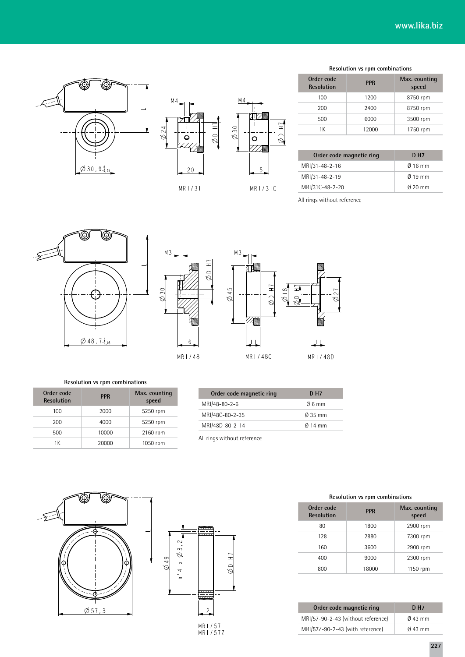



| M <sub>4</sub> |                |          |  |
|----------------|----------------|----------|--|
| n              |                | $\equiv$ |  |
|                |                | ≘        |  |
|                | $\overline{5}$ |          |  |
|                |                |          |  |

| Resolution vs rpm combinations  |            |                        |
|---------------------------------|------------|------------------------|
| Order code<br><b>Resolution</b> | <b>PPR</b> | Max. counting<br>speed |
| 100                             | 1200       | 8750 rpm               |
| 200                             | 2400       | 8750 rpm               |
| 500                             | 6000       | 3500 rpm               |
| 1 K                             | 12000      | 1750 rpm               |

| Order code magnetic ring | D H7              |
|--------------------------|-------------------|
| MRI/31-48-2-16           | $0.16$ mm         |
| MRI/31-48-2-19           | $\emptyset$ 19 mm |
| MRI/31C-48-2-20          | $0.20$ mm         |

All rings without reference







**Resolution vs rpm combinations**

| Order code<br><b>Resolution</b> | <b>PPR</b> | Max. counting<br>speed |
|---------------------------------|------------|------------------------|
| 100                             | 2000       | 5250 rpm               |
| 200                             | 4000       | 5250 rpm               |
| 500                             | 10000      | 2160 rpm               |
| 1 K                             | 20000      | 1050 rpm               |

| Order code magnetic ring | D H7                |
|--------------------------|---------------------|
| MRI/48-80-2-6            | $06 \text{ mm}$     |
| MRI/48C-80-2-35          | $\varnothing$ 35 mm |
| MRI/48D-80-2-14          | $\emptyset$ 14 mm   |

All rings without reference

 $H$ 

 $\frac{1}{\varphi}$ 



**Resolution vs rpm combinations**

| Order code<br><b>Resolution</b> | <b>PPR</b> | Max. counting<br>speed |  |
|---------------------------------|------------|------------------------|--|
| 80                              | 1800       | 2900 rpm               |  |
| 128                             | 2880       | 7300 rpm               |  |
| 160                             | 3600       | 2900 rpm               |  |
| 400                             | 9000       | 2300 rpm               |  |
| 800                             | 18000      | 1150 rpm               |  |

| Order code magnetic ring           | <b>DH7</b>        |
|------------------------------------|-------------------|
| MRI/57-90-2-43 (without reference) | $\emptyset$ 43 mm |
| MRI/57Z-90-2-43 (with reference)   | $\emptyset$ 43 mm |